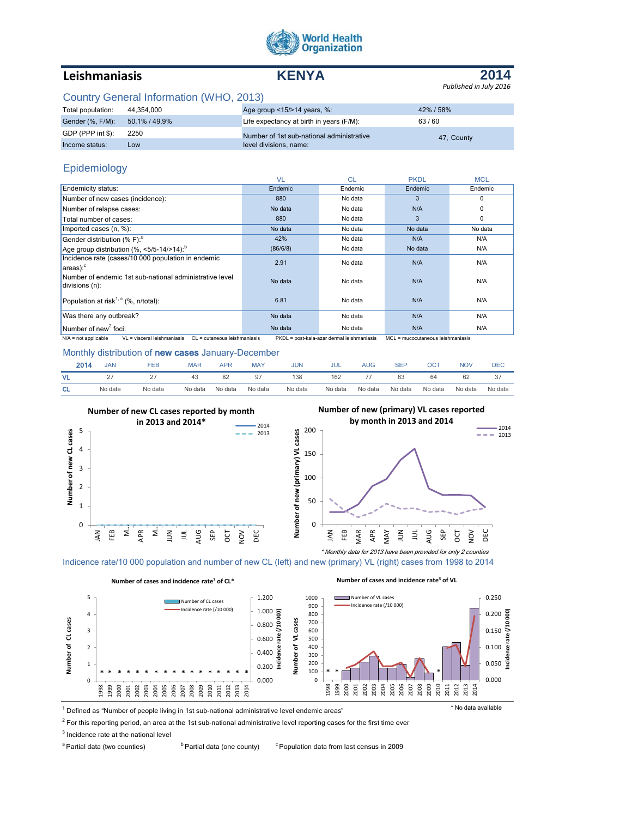

# **Leishmaniasis KENYA**



## Country General Information (WHO, 2013)

| Total population: | 44.354.000    | Age group $<15/>14$ years, %:             | 42% / 58%  |
|-------------------|---------------|-------------------------------------------|------------|
| Gender (%, F/M):  | 50.1% / 49.9% | Life expectancy at birth in years (F/M):  | 63/60      |
| GDP (PPP int \$): | 2250          | Number of 1st sub-national administrative |            |
| Income status:    | Low           | level divisions, name:                    | 47. County |

## Epidemiology

|                                                                                                                                                                          | <b>VL</b> | CL.     | <b>PKDL</b> | <b>MCL</b> |
|--------------------------------------------------------------------------------------------------------------------------------------------------------------------------|-----------|---------|-------------|------------|
| Endemicity status:                                                                                                                                                       | Endemic   | Endemic | Endemic     | Endemic    |
| Number of new cases (incidence):                                                                                                                                         | 880       | No data | 3           | $\Omega$   |
| Number of relapse cases:                                                                                                                                                 | No data   | No data | N/A         | $\Omega$   |
| Total number of cases:                                                                                                                                                   | 880       | No data | 3           | 0          |
| Imported cases (n, %):                                                                                                                                                   | No data   | No data | No data     | No data    |
| Gender distribution (% F): <sup>a</sup>                                                                                                                                  | 42%       | No data | N/A         | N/A        |
| Age group distribution $(\%$ , <5/5-14/>14):                                                                                                                             | (86/6/8)  | No data | No data     | N/A        |
| Incidence rate (cases/10 000 population in endemic<br>$ area$ :                                                                                                          | 2.91      | No data | N/A         | N/A        |
| Number of endemic 1st sub-national administrative level<br>divisions (n):                                                                                                | No data   | No data | N/A         | N/A        |
| Population at risk <sup>1, c</sup> (%, n/total):                                                                                                                         | 6.81      | No data | N/A         | N/A        |
| Was there any outbreak?                                                                                                                                                  | No data   | No data | N/A         | N/A        |
| Number of new <sup>2</sup> foci:                                                                                                                                         | No data   | No data | N/A         | N/A        |
| VL = visceral leishmaniasis<br>CL = cutaneous leishmaniasis<br>$N/A$ = not applicable<br>PKDL = post-kala-azar dermal leishmaniasis<br>MCL = mucocutaneous leishmaniasis |           |         |             |            |

#### Monthly distribution of new cases January-December

| 2014      | <b>JAN</b> | FEB     | <b>MAP</b> | <b>APR</b> | <b>MAY</b> | <b>JUN</b> | JUL     | AUG     | <b>SEP</b> | ОСТ     | <b>NOV</b> | DEC     |
|-----------|------------|---------|------------|------------|------------|------------|---------|---------|------------|---------|------------|---------|
| <b>VL</b> |            | -       | -43        | 82         |            | 138        | 162     |         | 63         | 64      | 62         |         |
| <b>CL</b> | No data    | No data | No data    | No data    | No data    | No data    | No data | No data | No data    | No data | No data    | No data |



Indicence rate/10 000 population and number of new CL (left) and new (primary) VL (right) cases from 1998 to 2014



#### **Number of cases and incidence rate<sup>3</sup> of CL\***

## 1 Defined as "Number of people living in 1st sub-national administrative level endemic areas" \* No data available

 $2$  For this reporting period, an area at the 1st sub-national administrative level reporting cases for the first time ever

<sup>3</sup> Incidence rate at the national level

<sup>a</sup> Partial data (two counties) bPartial data (one county) <sup>c</sup>Population data from last census in 2009

**Number of new (primary) VL cases reported** 

 $-2014$  $\frac{2013}{2013}$